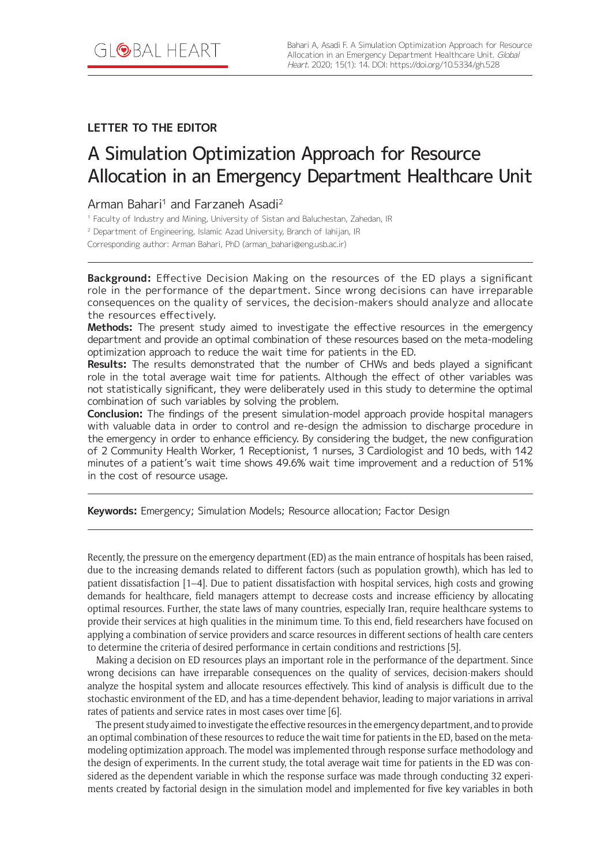# **LETTER TO THE EDITOR**

# A Simulation Optimization Approach for Resource Allocation in an Emergency Department Healthcare Unit

## Arman Bahari<sup>1</sup> and Farzaneh Asadi<sup>2</sup>

<sup>1</sup> Faculty of Industry and Mining, University of Sistan and Baluchestan, Zahedan, IR

<sup>2</sup> Department of Engineering, Islamic Azad University, Branch of lahijan, IR

Corresponding author: Arman Bahari, PhD (arman\_bahari@eng.usb.ac.ir)

**Background:** Effective Decision Making on the resources of the ED plays a significant role in the performance of the department. Since wrong decisions can have irreparable consequences on the quality of services, the decision-makers should analyze and allocate the resources effectively.

**Methods:** The present study aimed to investigate the effective resources in the emergency department and provide an optimal combination of these resources based on the meta-modeling optimization approach to reduce the wait time for patients in the ED.

**Results:** The results demonstrated that the number of CHWs and beds played a significant role in the total average wait time for patients. Although the effect of other variables was not statistically significant, they were deliberately used in this study to determine the optimal combination of such variables by solving the problem.

**Conclusion:** The findings of the present simulation-model approach provide hospital managers with valuable data in order to control and re-design the admission to discharge procedure in the emergency in order to enhance efficiency. By considering the budget, the new configuration of 2 Community Health Worker, 1 Receptionist, 1 nurses, 3 Cardiologist and 10 beds, with 142 minutes of a patient's wait time shows 49.6% wait time improvement and a reduction of 51% in the cost of resource usage.

**Keywords:** Emergency; Simulation Models; Resource allocation; Factor Design

Recently, the pressure on the emergency department (ED) as the main entrance of hospitals has been raised, due to the increasing demands related to different factors (such as population growth), which has led to patient dissatisfaction [1–4]. Due to patient dissatisfaction with hospital services, high costs and growing demands for healthcare, field managers attempt to decrease costs and increase efficiency by allocating optimal resources. Further, the state laws of many countries, especially Iran, require healthcare systems to provide their services at high qualities in the minimum time. To this end, field researchers have focused on applying a combination of service providers and scarce resources in different sections of health care centers to determine the criteria of desired performance in certain conditions and restrictions [5].

Making a decision on ED resources plays an important role in the performance of the department. Since wrong decisions can have irreparable consequences on the quality of services, decision-makers should analyze the hospital system and allocate resources effectively. This kind of analysis is difficult due to the stochastic environment of the ED, and has a time-dependent behavior, leading to major variations in arrival rates of patients and service rates in most cases over time [6].

The present study aimed to investigate the effective resources in the emergency department, and to provide an optimal combination of these resources to reduce the wait time for patients in the ED, based on the metamodeling optimization approach. The model was implemented through response surface methodology and the design of experiments. In the current study, the total average wait time for patients in the ED was considered as the dependent variable in which the response surface was made through conducting 32 experiments created by factorial design in the simulation model and implemented for five key variables in both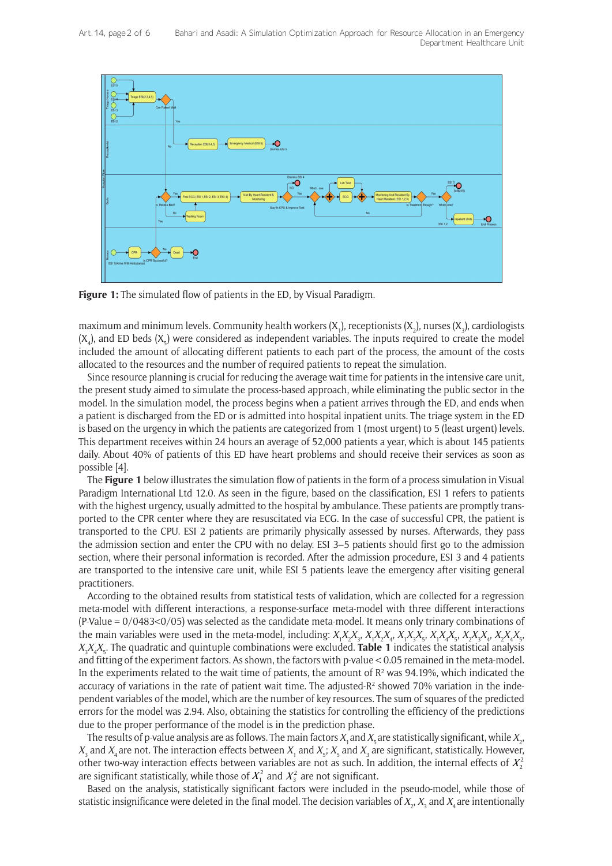

**Figure 1:** The simulated flow of patients in the ED, by Visual Paradigm.

maximum and minimum levels. Community health workers (X<sub>1</sub>), receptionists (X<sub>2</sub>), nurses (X<sub>3</sub>), cardiologists  $(X_4)$ , and ED beds  $(X_5)$  were considered as independent variables. The inputs required to create the model included the amount of allocating different patients to each part of the process, the amount of the costs allocated to the resources and the number of required patients to repeat the simulation.

Since resource planning is crucial for reducing the average wait time for patients in the intensive care unit, the present study aimed to simulate the process-based approach, while eliminating the public sector in the model. In the simulation model, the process begins when a patient arrives through the ED, and ends when a patient is discharged from the ED or is admitted into hospital inpatient units. The triage system in the ED is based on the urgency in which the patients are categorized from 1 (most urgent) to 5 (least urgent) levels. This department receives within 24 hours an average of 52,000 patients a year, which is about 145 patients daily. About 40% of patients of this ED have heart problems and should receive their services as soon as possible [4].

The **Figure 1** below illustrates the simulation flow of patients in the form of a process simulation in Visual Paradigm International Ltd 12.0. As seen in the figure, based on the classification, ESI 1 refers to patients with the highest urgency, usually admitted to the hospital by ambulance. These patients are promptly transported to the CPR center where they are resuscitated via ECG. In the case of successful CPR, the patient is transported to the CPU. ESI 2 patients are primarily physically assessed by nurses. Afterwards, they pass the admission section and enter the CPU with no delay. ESI 3–5 patients should first go to the admission section, where their personal information is recorded. After the admission procedure, ESI 3 and 4 patients are transported to the intensive care unit, while ESI 5 patients leave the emergency after visiting general practitioners.

According to the obtained results from statistical tests of validation, which are collected for a regression meta-model with different interactions, a response-surface meta-model with three different interactions (P-Value = 0/0483<0/05) was selected as the candidate meta-model. It means only trinary combinations of the main variables were used in the meta-model, including:  $X_1X_2X_3$ ,  $X_1X_2X_4$ ,  $X_1X_3X_5$ ,  $X_1X_4X_5$ ,  $X_2X_3X_4$ ,  $X_2X_4X_5$ ,  $X_{3}X_{4}X_{5}$ . The quadratic and quintuple combinations were excluded. **Table 1** indicates the statistical analysis and fitting of the experiment factors. As shown, the factors with p-value < 0.05 remained in the meta-model. In the experiments related to the wait time of patients, the amount of  $R^2$  was 94.19%, which indicated the accuracy of variations in the rate of patient wait time. The adjusted- $R<sup>2</sup>$  showed 70% variation in the independent variables of the model, which are the number of key resources. The sum of squares of the predicted errors for the model was 2.94. Also, obtaining the statistics for controlling the efficiency of the predictions due to the proper performance of the model is in the prediction phase.

The results of p-value analysis are as follows. The main factors  $X_{_1}$  and  $X_{_5}$ are statistically significant, while  $X_{_2},$  $X_3$  and  $X_4$  are not. The interaction effects between  $X_1$  and  $X_5$ ;  $X_5$  and  $X_3$  are significant, statistically. However, other two-way interaction effects between variables are not as such. In addition, the internal effects of  $X_2^2$ are significant statistically, while those of  $X_1^2$  and  $X_3^2$  are not significant.

Based on the analysis, statistically significant factors were included in the pseudo-model, while those of statistic insignificance were deleted in the final model. The decision variables of  $X_{_2}$ ,  $X_{_3}$  and  $X_{_4}$ are intentionally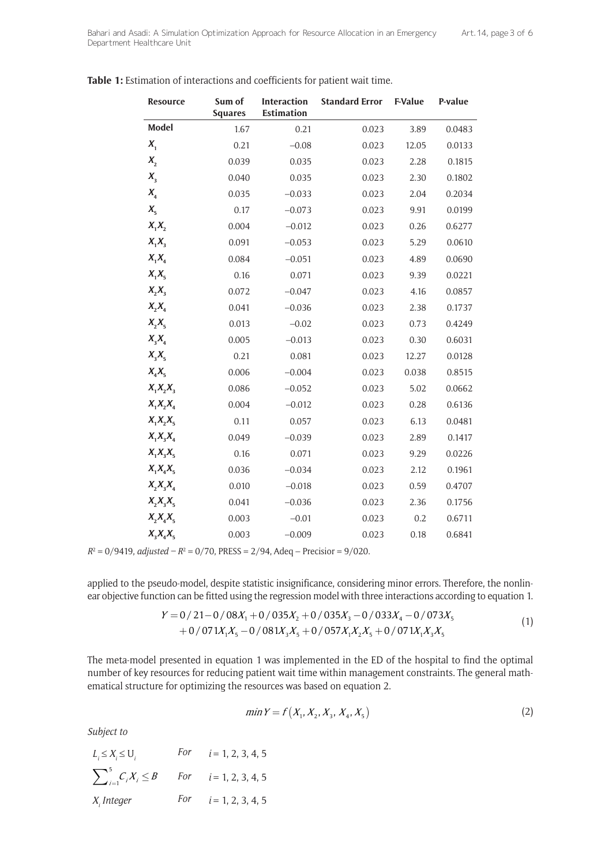| <b>Resource</b> | Sum of<br><b>Squares</b> | <b>Interaction</b><br><b>Estimation</b> | <b>Standard Error</b> | <b>F-Value</b> | P-value |
|-----------------|--------------------------|-----------------------------------------|-----------------------|----------------|---------|
| <b>Model</b>    | 1.67                     | 0.21                                    | 0.023                 | 3.89           | 0.0483  |
| $X_{1}$         | 0.21                     | $-0.08$                                 | 0.023                 | 12.05          | 0.0133  |
| $X_{2}$         | 0.039                    | 0.035                                   | 0.023                 | 2.28           | 0.1815  |
| $X_3$           | 0.040                    | 0.035                                   | 0.023                 | 2.30           | 0.1802  |
| $X_{4}$         | 0.035                    | $-0.033$                                | 0.023                 | 2.04           | 0.2034  |
| $X_{5}$         | 0.17                     | $-0.073$                                | 0.023                 | 9.91           | 0.0199  |
| $X_1X_2$        | 0.004                    | $-0.012$                                | 0.023                 | 0.26           | 0.6277  |
| $X_1X_3$        | 0.091                    | $-0.053$                                | 0.023                 | 5.29           | 0.0610  |
| $X_1X_4$        | 0.084                    | $-0.051$                                | 0.023                 | 4.89           | 0.0690  |
| $X_1X_5$        | 0.16                     | 0.071                                   | 0.023                 | 9.39           | 0.0221  |
| $X_2X_3$        | 0.072                    | $-0.047$                                | 0.023                 | 4.16           | 0.0857  |
| $X_2X_4$        | 0.041                    | $-0.036$                                | 0.023                 | 2.38           | 0.1737  |
| $X_2X_5$        | 0.013                    | $-0.02$                                 | 0.023                 | 0.73           | 0.4249  |
| $X_{3}X_{4}$    | 0.005                    | $-0.013$                                | 0.023                 | 0.30           | 0.6031  |
| $X_3X_5$        | 0.21                     | 0.081                                   | 0.023                 | 12.27          | 0.0128  |
| $X_4X_5$        | 0.006                    | $-0.004$                                | 0.023                 | 0.038          | 0.8515  |
| $X_1X_2X_3$     | 0.086                    | $-0.052$                                | 0.023                 | 5.02           | 0.0662  |
| $X_1X_2X_4$     | 0.004                    | $-0.012$                                | 0.023                 | 0.28           | 0.6136  |
| $X_1X_2X_5$     | 0.11                     | 0.057                                   | 0.023                 | 6.13           | 0.0481  |
| $X_1X_3X_4$     | 0.049                    | $-0.039$                                | 0.023                 | 2.89           | 0.1417  |
| $X_1X_3X_5$     | 0.16                     | 0.071                                   | 0.023                 | 9.29           | 0.0226  |
| $X_1X_4X_5$     | 0.036                    | $-0.034$                                | 0.023                 | 2.12           | 0.1961  |
| $X_2X_3X_4$     | 0.010                    | $-0.018$                                | 0.023                 | 0.59           | 0.4707  |
| $X_2X_3X_5$     | 0.041                    | $-0.036$                                | 0.023                 | 2.36           | 0.1756  |
| $X_2X_4X_5$     | 0.003                    | $-0.01$                                 | 0.023                 | 0.2            | 0.6711  |
| $X_3X_4X_5$     | 0.003                    | $-0.009$                                | 0.023                 | 0.18           | 0.6841  |

**Table 1:** Estimation of interactions and coefficients for patient wait time.

 $R^2 = 0/9419$ , *adjusted* –  $R^2 = 0/70$ , PRESS = 2/94, Adeq – Precisior = 9/020.

applied to the pseudo-model, despite statistic insignificance, considering minor errors. Therefore, the nonlinear objective function can be fitted using the regression model with three interactions according to equation 1.

$$
Y = 0/21 - 0/08X_1 + 0/035X_2 + 0/035X_3 - 0/033X_4 - 0/073X_5
$$
  
+ 0/071X<sub>1</sub>X<sub>5</sub> - 0/081X<sub>3</sub>X<sub>5</sub> + 0/057X<sub>1</sub>X<sub>2</sub>X<sub>5</sub> + 0/071X<sub>1</sub>X<sub>3</sub>X<sub>5</sub> (1)

The meta-model presented in equation 1 was implemented in the ED of the hospital to find the optimal number of key resources for reducing patient wait time within management constraints. The general mathematical structure for optimizing the resources was based on equation 2.

$$
\min Y = f\left(X_1, X_2, X_3, X_4, X_5\right) \tag{2}
$$

*Subject to*

| $L_i \leq X_i \leq U_i$                                 | For $i = 1, 2, 3, 4, 5$ |
|---------------------------------------------------------|-------------------------|
| $\sum_{i=1}^{5} C_i X_i \leq B$ For $i = 1, 2, 3, 4, 5$ |                         |
| $X_i$ Integer                                           | For $i = 1, 2, 3, 4, 5$ |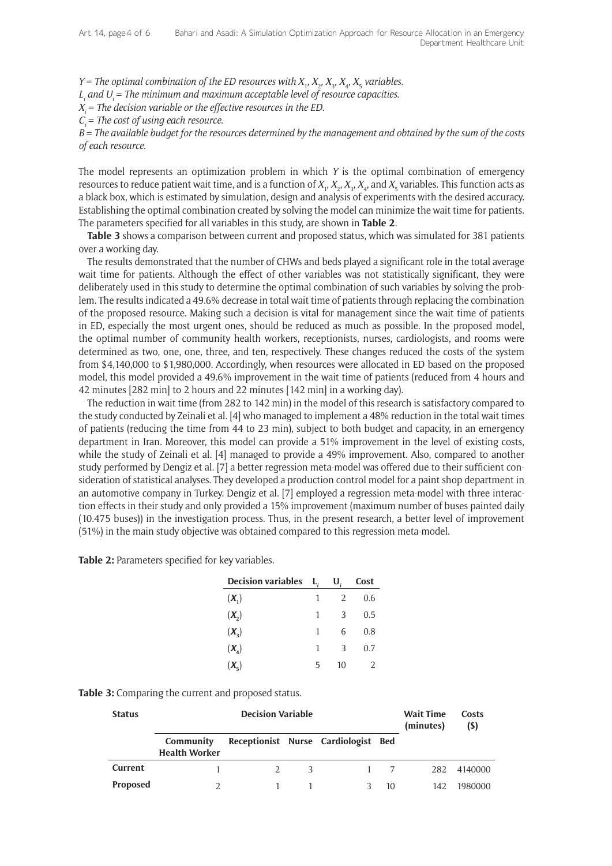*Y* = *The optimal combination of the ED resources with*  $X_1$ *,*  $X_2$ *,*  $X_3$ *,*  $X_4$ *,*  $X_5$  *variables.* 

 $L$ <sub>i</sub> and  $U$ <sub>i</sub> = The minimum and maximum acceptable level of resource capacities.

*Xi = The decision variable or the effective resources in the ED*.

*Ci = The cost of using each resource*.

*B = The available budget for the resources determined by the management and obtained by the sum of the costs of each resource*.

The model represents an optimization problem in which *Y* is the optimal combination of emergency resources to reduce patient wait time, and is a function of  $X_1, X_2, X_3, X_4$ , and  $X_5$  variables. This function acts as a black box, which is estimated by simulation, design and analysis of experiments with the desired accuracy. Establishing the optimal combination created by solving the model can minimize the wait time for patients. The parameters specified for all variables in this study, are shown in **Table 2**.

**Table 3** shows a comparison between current and proposed status, which was simulated for 381 patients over a working day.

The results demonstrated that the number of CHWs and beds played a significant role in the total average wait time for patients. Although the effect of other variables was not statistically significant, they were deliberately used in this study to determine the optimal combination of such variables by solving the problem. The results indicated a 49.6% decrease in total wait time of patients through replacing the combination of the proposed resource. Making such a decision is vital for management since the wait time of patients in ED, especially the most urgent ones, should be reduced as much as possible. In the proposed model, the optimal number of community health workers, receptionists, nurses, cardiologists, and rooms were determined as two, one, one, three, and ten, respectively. These changes reduced the costs of the system from \$4,140,000 to \$1,980,000. Accordingly, when resources were allocated in ED based on the proposed model, this model provided a 49.6% improvement in the wait time of patients (reduced from 4 hours and 42 minutes [282 min] to 2 hours and 22 minutes [142 min] in a working day).

The reduction in wait time (from 282 to 142 min) in the model of this research is satisfactory compared to the study conducted by Zeinali et al. [4] who managed to implement a 48% reduction in the total wait times of patients (reducing the time from 44 to 23 min), subject to both budget and capacity, in an emergency department in Iran. Moreover, this model can provide a 51% improvement in the level of existing costs, while the study of Zeinali et al. [4] managed to provide a 49% improvement. Also, compared to another study performed by Dengiz et al. [7] a better regression meta-model was offered due to their sufficient consideration of statistical analyses. They developed a production control model for a paint shop department in an automotive company in Turkey. Dengiz et al. [7] employed a regression meta-model with three interaction effects in their study and only provided a 15% improvement (maximum number of buses painted daily (10.475 buses)) in the investigation process. Thus, in the present research, a better level of improvement (51%) in the main study objective was obtained compared to this regression meta-model.

**Table 2:** Parameters specified for key variables.

| Decision variables $L_i$     |   | $\mathbf{U}_{i}$ | Cost |
|------------------------------|---|------------------|------|
| $(X_1)$                      | 1 | 2                | 0.6  |
| $(X_{2})$                    | 1 | 3                | 0.5  |
| $(X_{2})$                    | 1 | 6                | 0.8  |
| $(X_{\scriptscriptstyle A})$ | 1 | 3                | 0.7  |
| $(X_{r})$                    | 5 | 10               | 2    |

| <b>Status</b>   | <b>Decision Variable</b>          |  |     |                                     |     | <b>Wait Time</b><br>(minutes) | Costs<br>(S) |
|-----------------|-----------------------------------|--|-----|-------------------------------------|-----|-------------------------------|--------------|
|                 | Community<br><b>Health Worker</b> |  |     | Receptionist Nurse Cardiologist Bed |     |                               |              |
| Current         |                                   |  | -3- |                                     | 1 7 | 282                           | 4140000      |
| <b>Proposed</b> |                                   |  |     |                                     | 10  | 142                           | 1980000      |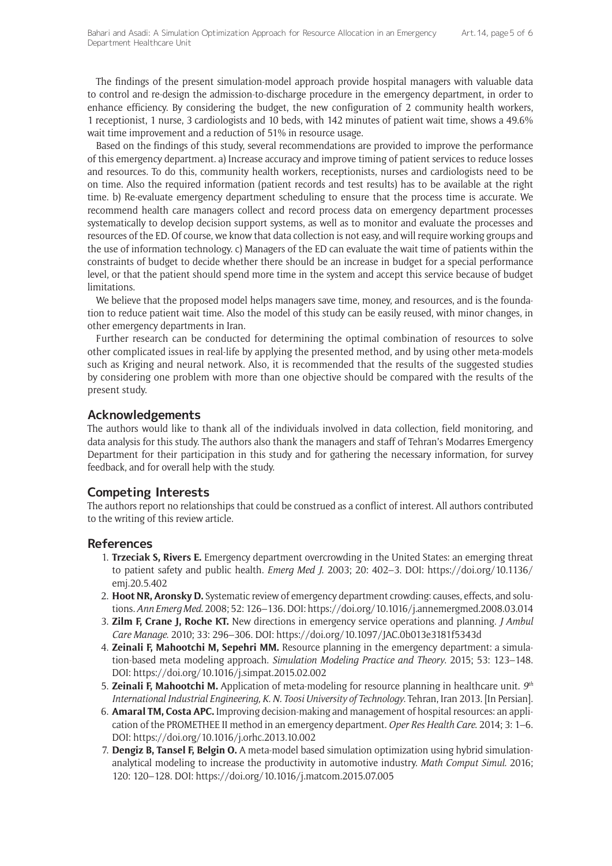The findings of the present simulation-model approach provide hospital managers with valuable data to control and re-design the admission-to-discharge procedure in the emergency department, in order to enhance efficiency. By considering the budget, the new configuration of 2 community health workers, 1 receptionist, 1 nurse, 3 cardiologists and 10 beds, with 142 minutes of patient wait time, shows a 49.6% wait time improvement and a reduction of 51% in resource usage.

Based on the findings of this study, several recommendations are provided to improve the performance of this emergency department. a) Increase accuracy and improve timing of patient services to reduce losses and resources. To do this, community health workers, receptionists, nurses and cardiologists need to be on time. Also the required information (patient records and test results) has to be available at the right time. b) Re-evaluate emergency department scheduling to ensure that the process time is accurate. We recommend health care managers collect and record process data on emergency department processes systematically to develop decision support systems, as well as to monitor and evaluate the processes and resources of the ED. Of course, we know that data collection is not easy, and will require working groups and the use of information technology. c) Managers of the ED can evaluate the wait time of patients within the constraints of budget to decide whether there should be an increase in budget for a special performance level, or that the patient should spend more time in the system and accept this service because of budget limitations.

We believe that the proposed model helps managers save time, money, and resources, and is the foundation to reduce patient wait time. Also the model of this study can be easily reused, with minor changes, in other emergency departments in Iran.

Further research can be conducted for determining the optimal combination of resources to solve other complicated issues in real-life by applying the presented method, and by using other meta-models such as Kriging and neural network. Also, it is recommended that the results of the suggested studies by considering one problem with more than one objective should be compared with the results of the present study.

#### **Acknowledgements**

The authors would like to thank all of the individuals involved in data collection, field monitoring, and data analysis for this study. The authors also thank the managers and staff of Tehran's Modarres Emergency Department for their participation in this study and for gathering the necessary information, for survey feedback, and for overall help with the study.

### **Competing Interests**

The authors report no relationships that could be construed as a conflict of interest. All authors contributed to the writing of this review article.

#### **References**

- 1. **Trzeciak S, Rivers E.** Emergency department overcrowding in the United States: an emerging threat to patient safety and public health. *Emerg Med J*. 2003; 20: 402–3. DOI: https://doi.org/10.1136/ emj.20.5.402
- 2. **Hoot NR, Aronsky D.** Systematic review of emergency department crowding: causes, effects, and solutions. *Ann Emerg Med*. 2008; 52: 126–136. DOI: https://doi.org/10.1016/j.annemergmed.2008.03.014
- 3. **Zilm F, Crane J, Roche KT.** New directions in emergency service operations and planning. *J Ambul Care Manage*. 2010; 33: 296–306. DOI: https://doi.org/10.1097/JAC.0b013e3181f5343d
- 4. **Zeinali F, Mahootchi M, Sepehri MM.** Resource planning in the emergency department: a simulation-based meta modeling approach. *Simulation Modeling Practice and Theory*. 2015; 53: 123–148. DOI: https://doi.org/10.1016/j.simpat.2015.02.002
- 5. **Zeinali F, Mahootchi M.** Application of meta-modeling for resource planning in healthcare unit. *9th International Industrial Engineering, K. N. Toosi University of Technology*. Tehran, Iran 2013. [In Persian].
- 6. **Amaral TM, Costa APC.** Improving decision-making and management of hospital resources: an application of the PROMETHEE II method in an emergency department. *Oper Res Health Care*. 2014; 3: 1–6. DOI: https://doi.org/10.1016/j.orhc.2013.10.002
- 7. **Dengiz B, Tansel F, Belgin O.** A meta-model based simulation optimization using hybrid simulationanalytical modeling to increase the productivity in automotive industry. *Math Comput Simul*. 2016; 120: 120–128. DOI: https://doi.org/10.1016/j.matcom.2015.07.005